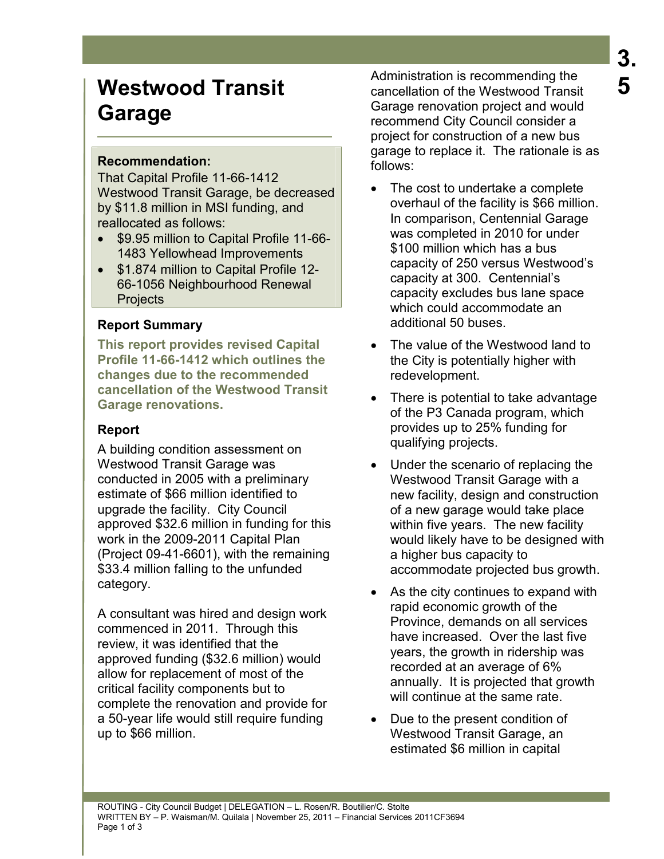# **Westwood Transit Garage**

# **Recommendation:**

That Capital Profile 11-66-1412 Westwood Transit Garage, be decreased by \$11.8 million in MSI funding, and reallocated as follows:

- \$9.95 million to Capital Profile 11-66- 1483 Yellowhead Improvements
- \$1.874 million to Capital Profile 12- 66-1056 Neighbourhood Renewal **Projects**

# **Report Summary**

**This report provides revised Capital Profile 11-66-1412 which outlines the changes due to the recommended cancellation of the Westwood Transit Garage renovations.** 

# **Report**

A building condition assessment on Westwood Transit Garage was conducted in 2005 with a preliminary estimate of \$66 million identified to upgrade the facility. City Council approved \$32.6 million in funding for this work in the 2009-2011 Capital Plan (Project 09-41-6601), with the remaining \$33.4 million falling to the unfunded category.

A consultant was hired and design work commenced in 2011. Through this review, it was identified that the approved funding (\$32.6 million) would allow for replacement of most of the critical facility components but to complete the renovation and provide for a 50-year life would still require funding up to \$66 million.

Administration is recommending the cancellation of the Westwood Transit Garage renovation project and would recommend City Council consider a project for construction of a new bus garage to replace it. The rationale is as follows:

- The cost to undertake a complete overhaul of the facility is \$66 million. In comparison, Centennial Garage was completed in 2010 for under \$100 million which has a bus capacity of 250 versus Westwood's capacity at 300. Centennial's capacity excludes bus lane space which could accommodate an additional 50 buses.
- The value of the Westwood land to the City is potentially higher with redevelopment.
- There is potential to take advantage of the P3 Canada program, which provides up to 25% funding for qualifying projects.
- Under the scenario of replacing the Westwood Transit Garage with a new facility, design and construction of a new garage would take place within five years. The new facility would likely have to be designed with a higher bus capacity to accommodate projected bus growth.
- As the city continues to expand with rapid economic growth of the Province, demands on all services have increased. Over the last five years, the growth in ridership was recorded at an average of 6% annually. It is projected that growth will continue at the same rate.
- Due to the present condition of Westwood Transit Garage, an estimated \$6 million in capital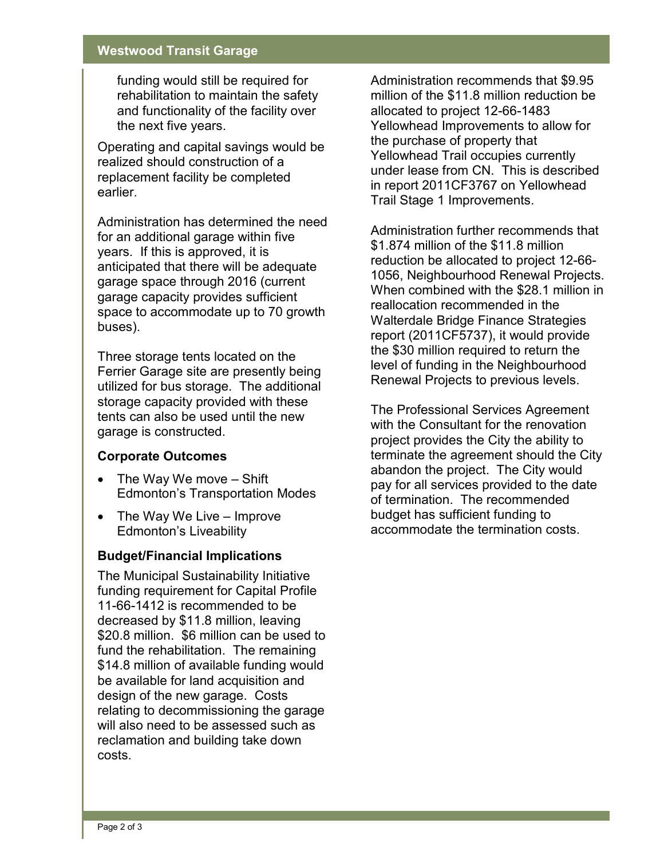### **Westwood Transit Garage**

funding would still be required for rehabilitation to maintain the safety and functionality of the facility over the next five years.

Operating and capital savings would be realized should construction of a replacement facility be completed earlier.

Administration has determined the need for an additional garage within five years. If this is approved, it is anticipated that there will be adequate garage space through 2016 (current garage capacity provides sufficient space to accommodate up to 70 growth buses).

Three storage tents located on the Ferrier Garage site are presently being utilized for bus storage. The additional storage capacity provided with these tents can also be used until the new garage is constructed.

## **Corporate Outcomes**

- The Way We move Shift Edmonton's Transportation Modes
- The Way We Live Improve Edmonton's Liveability

#### **Budget/Financial Implications**

The Municipal Sustainability Initiative funding requirement for Capital Profile 11-66-1412 is recommended to be decreased by \$11.8 million, leaving \$20.8 million. \$6 million can be used to fund the rehabilitation. The remaining \$14.8 million of available funding would be available for land acquisition and design of the new garage. Costs relating to decommissioning the garage will also need to be assessed such as reclamation and building take down costs.

Administration recommends that \$9.95 million of the \$11.8 million reduction be allocated to project 12-66-1483 Yellowhead Improvements to allow for the purchase of property that Yellowhead Trail occupies currently under lease from CN. This is described in report 2011CF3767 on Yellowhead Trail Stage 1 Improvements.

Administration further recommends that \$1.874 million of the \$11.8 million reduction be allocated to project 12-66- 1056, Neighbourhood Renewal Projects. When combined with the \$28.1 million in reallocation recommended in the Walterdale Bridge Finance Strategies report (2011CF5737), it would provide the \$30 million required to return the level of funding in the Neighbourhood Renewal Projects to previous levels.

The Professional Services Agreement with the Consultant for the renovation project provides the City the ability to terminate the agreement should the City abandon the project. The City would pay for all services provided to the date of termination. The recommended budget has sufficient funding to accommodate the termination costs.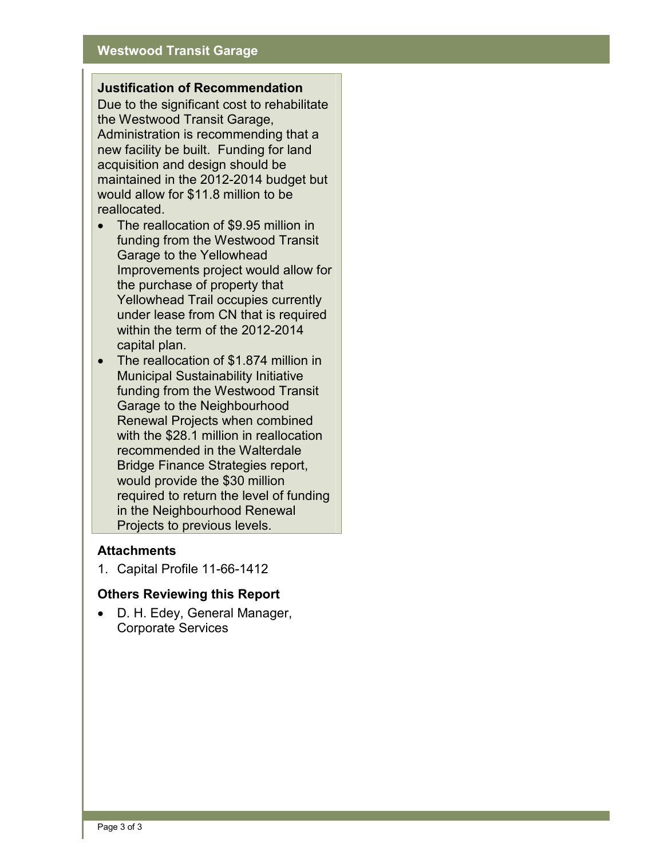#### **Justification of Recommendation**

Due to the significant cost to rehabilitate the Westwood Transit Garage, Administration is recommending that a new facility be built. Funding for land acquisition and design should be maintained in the 2012-2014 budget but would allow for \$11.8 million to be reallocated.

- The reallocation of \$9.95 million in funding from the Westwood Transit Garage to the Yellowhead Improvements project would allow for the purchase of property that Yellowhead Trail occupies currently under lease from CN that is required within the term of the 2012-2014 capital plan.
- The reallocation of \$1.874 million in Municipal Sustainability Initiative funding from the Westwood Transit Garage to the Neighbourhood Renewal Projects when combined with the \$28.1 million in reallocation recommended in the Walterdale Bridge Finance Strategies report, would provide the \$30 million required to return the level of funding in the Neighbourhood Renewal Projects to previous levels.

#### **Attachments**

1. Capital Profile 11-66-1412

#### **Others Reviewing this Report**

• D. H. Edey, General Manager, Corporate Services